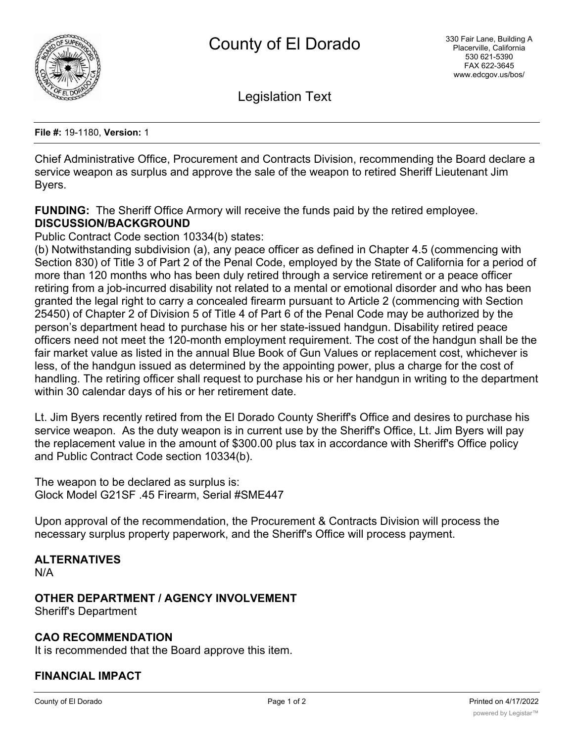

Legislation Text

**File #:** 19-1180, **Version:** 1

Chief Administrative Office, Procurement and Contracts Division, recommending the Board declare a service weapon as surplus and approve the sale of the weapon to retired Sheriff Lieutenant Jim Byers.

**FUNDING:** The Sheriff Office Armory will receive the funds paid by the retired employee. **DISCUSSION/BACKGROUND**

Public Contract Code section 10334(b) states:

(b) Notwithstanding subdivision (a), any peace officer as defined in Chapter 4.5 (commencing with Section 830) of Title 3 of Part 2 of the Penal Code, employed by the State of California for a period of more than 120 months who has been duly retired through a service retirement or a peace officer retiring from a job-incurred disability not related to a mental or emotional disorder and who has been granted the legal right to carry a concealed firearm pursuant to Article 2 (commencing with Section 25450) of Chapter 2 of Division 5 of Title 4 of Part 6 of the Penal Code may be authorized by the person's department head to purchase his or her state-issued handgun. Disability retired peace officers need not meet the 120-month employment requirement. The cost of the handgun shall be the fair market value as listed in the annual Blue Book of Gun Values or replacement cost, whichever is less, of the handgun issued as determined by the appointing power, plus a charge for the cost of handling. The retiring officer shall request to purchase his or her handgun in writing to the department within 30 calendar days of his or her retirement date.

Lt. Jim Byers recently retired from the El Dorado County Sheriff's Office and desires to purchase his service weapon. As the duty weapon is in current use by the Sheriff's Office, Lt. Jim Byers will pay the replacement value in the amount of \$300.00 plus tax in accordance with Sheriff's Office policy and Public Contract Code section 10334(b).

The weapon to be declared as surplus is: Glock Model G21SF .45 Firearm, Serial #SME447

Upon approval of the recommendation, the Procurement & Contracts Division will process the necessary surplus property paperwork, and the Sheriff's Office will process payment.

#### **ALTERNATIVES**

N/A

### **OTHER DEPARTMENT / AGENCY INVOLVEMENT**

Sheriff's Department

#### **CAO RECOMMENDATION**

It is recommended that the Board approve this item.

# **FINANCIAL IMPACT**